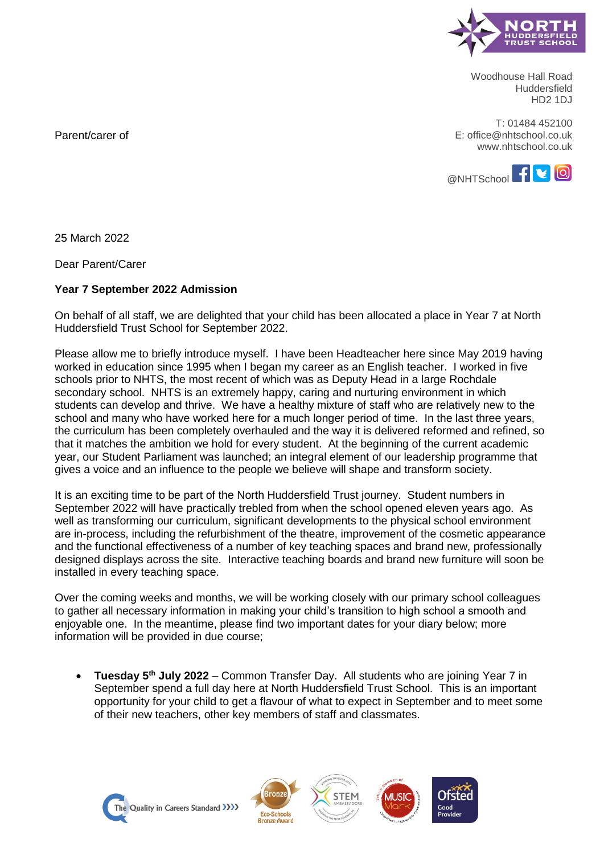

Woodhouse Hall Road Huddersfield HD2 1DJ

T: 01484 452100 E: office@nhtschool.co.uk www.nhtschool.co.uk



Parent/carer of

25 March 2022

Dear Parent/Carer

## **Year 7 September 2022 Admission**

On behalf of all staff, we are delighted that your child has been allocated a place in Year 7 at North Huddersfield Trust School for September 2022.

Please allow me to briefly introduce myself. I have been Headteacher here since May 2019 having worked in education since 1995 when I began my career as an English teacher. I worked in five schools prior to NHTS, the most recent of which was as Deputy Head in a large Rochdale secondary school. NHTS is an extremely happy, caring and nurturing environment in which students can develop and thrive. We have a healthy mixture of staff who are relatively new to the school and many who have worked here for a much longer period of time. In the last three years, the curriculum has been completely overhauled and the way it is delivered reformed and refined, so that it matches the ambition we hold for every student. At the beginning of the current academic year, our Student Parliament was launched; an integral element of our leadership programme that gives a voice and an influence to the people we believe will shape and transform society.

It is an exciting time to be part of the North Huddersfield Trust journey. Student numbers in September 2022 will have practically trebled from when the school opened eleven years ago. As well as transforming our curriculum, significant developments to the physical school environment are in-process, including the refurbishment of the theatre, improvement of the cosmetic appearance and the functional effectiveness of a number of key teaching spaces and brand new, professionally designed displays across the site. Interactive teaching boards and brand new furniture will soon be installed in every teaching space.

Over the coming weeks and months, we will be working closely with our primary school colleagues to gather all necessary information in making your child's transition to high school a smooth and enjoyable one. In the meantime, please find two important dates for your diary below; more information will be provided in due course;

 **Tuesday 5th July 2022** – Common Transfer Day. All students who are joining Year 7 in September spend a full day here at North Huddersfield Trust School. This is an important opportunity for your child to get a flavour of what to expect in September and to meet some of their new teachers, other key members of staff and classmates.